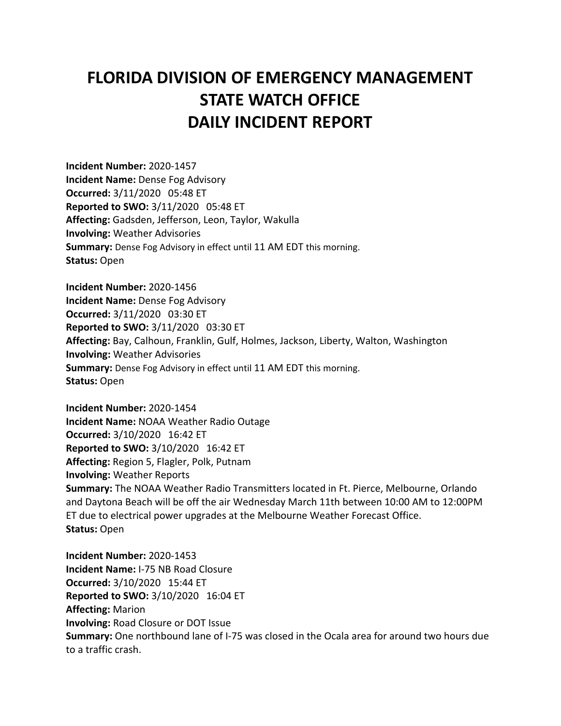## **FLORIDA DIVISION OF EMERGENCY MANAGEMENT STATE WATCH OFFICE DAILY INCIDENT REPORT**

**Incident Number:** 2020-1457 **Incident Name:** Dense Fog Advisory **Occurred:** 3/11/2020 05:48 ET **Reported to SWO:** 3/11/2020 05:48 ET **Affecting:** Gadsden, Jefferson, Leon, Taylor, Wakulla **Involving:** Weather Advisories **Summary:** Dense Fog Advisory in effect until 11 AM EDT this morning. **Status:** Open

**Incident Number:** 2020-1456 **Incident Name:** Dense Fog Advisory **Occurred:** 3/11/2020 03:30 ET **Reported to SWO:** 3/11/2020 03:30 ET **Affecting:** Bay, Calhoun, Franklin, Gulf, Holmes, Jackson, Liberty, Walton, Washington **Involving:** Weather Advisories **Summary:** Dense Fog Advisory in effect until 11 AM EDT this morning. **Status:** Open

**Incident Number:** 2020-1454 **Incident Name:** NOAA Weather Radio Outage **Occurred:** 3/10/2020 16:42 ET **Reported to SWO:** 3/10/2020 16:42 ET **Affecting:** Region 5, Flagler, Polk, Putnam **Involving:** Weather Reports **Summary:** The NOAA Weather Radio Transmitters located in Ft. Pierce, Melbourne, Orlando and Daytona Beach will be off the air Wednesday March 11th between 10:00 AM to 12:00PM ET due to electrical power upgrades at the Melbourne Weather Forecast Office. **Status:** Open

**Incident Number:** 2020-1453 **Incident Name:** I-75 NB Road Closure **Occurred:** 3/10/2020 15:44 ET **Reported to SWO:** 3/10/2020 16:04 ET **Affecting:** Marion **Involving:** Road Closure or DOT Issue **Summary:** One northbound lane of I-75 was closed in the Ocala area for around two hours due to a traffic crash.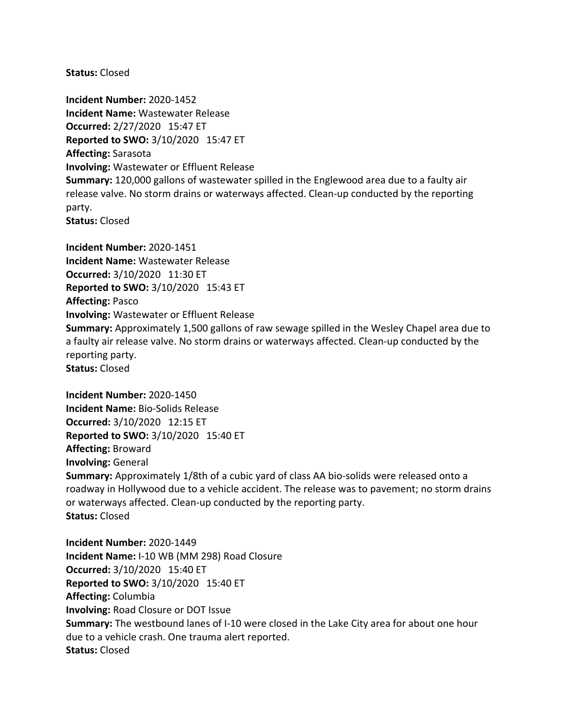**Status:** Closed

**Incident Number:** 2020-1452 **Incident Name:** Wastewater Release **Occurred:** 2/27/2020 15:47 ET **Reported to SWO:** 3/10/2020 15:47 ET **Affecting:** Sarasota **Involving:** Wastewater or Effluent Release **Summary:** 120,000 gallons of wastewater spilled in the Englewood area due to a faulty air release valve. No storm drains or waterways affected. Clean-up conducted by the reporting party. **Status:** Closed

**Incident Number:** 2020-1451 **Incident Name:** Wastewater Release **Occurred:** 3/10/2020 11:30 ET **Reported to SWO:** 3/10/2020 15:43 ET **Affecting:** Pasco **Involving:** Wastewater or Effluent Release **Summary:** Approximately 1,500 gallons of raw sewage spilled in the Wesley Chapel area due to a faulty air release valve. No storm drains or waterways affected. Clean-up conducted by the reporting party. **Status:** Closed

**Incident Number:** 2020-1450 **Incident Name:** Bio-Solids Release **Occurred:** 3/10/2020 12:15 ET **Reported to SWO:** 3/10/2020 15:40 ET **Affecting:** Broward **Involving:** General **Summary:** Approximately 1/8th of a cubic yard of class AA bio-solids were released onto a roadway in Hollywood due to a vehicle accident. The release was to pavement; no storm drains or waterways affected. Clean-up conducted by the reporting party. **Status:** Closed

**Incident Number:** 2020-1449 **Incident Name:** I-10 WB (MM 298) Road Closure **Occurred:** 3/10/2020 15:40 ET **Reported to SWO:** 3/10/2020 15:40 ET **Affecting:** Columbia **Involving:** Road Closure or DOT Issue **Summary:** The westbound lanes of I-10 were closed in the Lake City area for about one hour due to a vehicle crash. One trauma alert reported. **Status:** Closed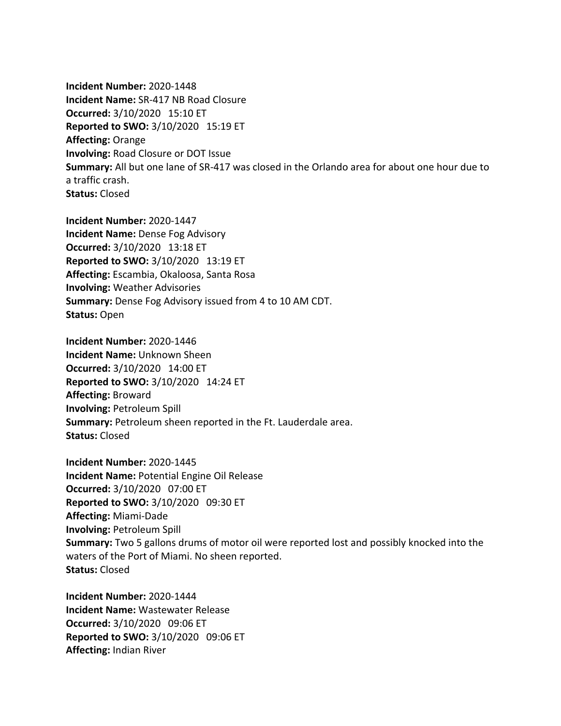**Incident Number:** 2020-1448 **Incident Name:** SR-417 NB Road Closure **Occurred:** 3/10/2020 15:10 ET **Reported to SWO:** 3/10/2020 15:19 ET **Affecting:** Orange **Involving:** Road Closure or DOT Issue **Summary:** All but one lane of SR-417 was closed in the Orlando area for about one hour due to a traffic crash. **Status:** Closed

**Incident Number:** 2020-1447 **Incident Name:** Dense Fog Advisory **Occurred:** 3/10/2020 13:18 ET **Reported to SWO:** 3/10/2020 13:19 ET **Affecting:** Escambia, Okaloosa, Santa Rosa **Involving:** Weather Advisories **Summary:** Dense Fog Advisory issued from 4 to 10 AM CDT. **Status:** Open

**Incident Number:** 2020-1446 **Incident Name:** Unknown Sheen **Occurred:** 3/10/2020 14:00 ET **Reported to SWO:** 3/10/2020 14:24 ET **Affecting:** Broward **Involving:** Petroleum Spill **Summary:** Petroleum sheen reported in the Ft. Lauderdale area. **Status:** Closed

**Incident Number:** 2020-1445 **Incident Name:** Potential Engine Oil Release **Occurred:** 3/10/2020 07:00 ET **Reported to SWO:** 3/10/2020 09:30 ET **Affecting:** Miami-Dade **Involving:** Petroleum Spill **Summary:** Two 5 gallons drums of motor oil were reported lost and possibly knocked into the waters of the Port of Miami. No sheen reported. **Status:** Closed

**Incident Number:** 2020-1444 **Incident Name:** Wastewater Release **Occurred:** 3/10/2020 09:06 ET **Reported to SWO:** 3/10/2020 09:06 ET **Affecting:** Indian River